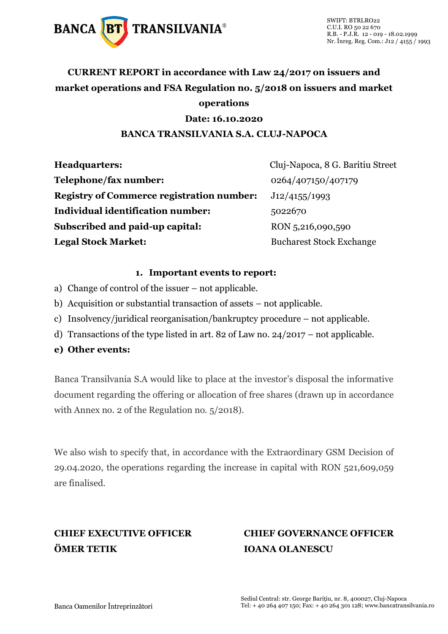

## **CURRENT REPORT in accordance with Law 24/2017 on issuers and market operations and FSA Regulation no. 5/2018 on issuers and market operations**

### **Date: 16.10.2020**

### **BANCA TRANSILVANIA S.A. CLUJ-NAPOCA**

| Cluj-Napoca, 8 G. Baritiu Street<br><b>Headquarters:</b> |                                 |  |
|----------------------------------------------------------|---------------------------------|--|
| Telephone/fax number:                                    | 0264/407150/407179              |  |
| <b>Registry of Commerce registration number:</b>         | J12/4155/1993                   |  |
| <b>Individual identification number:</b>                 | 5022670                         |  |
| Subscribed and paid-up capital:                          | RON 5,216,090,590               |  |
| <b>Legal Stock Market:</b>                               | <b>Bucharest Stock Exchange</b> |  |

### **1. Important events to report:**

- a) Change of control of the issuer not applicable.
- b) Acquisition or substantial transaction of assets not applicable.
- c) Insolvency/juridical reorganisation/bankruptcy procedure not applicable.
- d) Transactions of the type listed in art. 82 of Law no. 24/2017 not applicable.
- **e) Other events:**

Banca Transilvania S.A would like to place at the investor's disposal the informative document regarding the offering or allocation of free shares (drawn up in accordance with Annex no. 2 of the Regulation no. 5/2018).

We also wish to specify that, in accordance with the Extraordinary GSM Decision of 29.04.2020, the operations regarding the increase in capital with RON 521,609,059 are finalised.

## **ÖMER TETIK IOANA OLANESCU**

# **CHIEF EXECUTIVE OFFICER CHIEF GOVERNANCE OFFICER**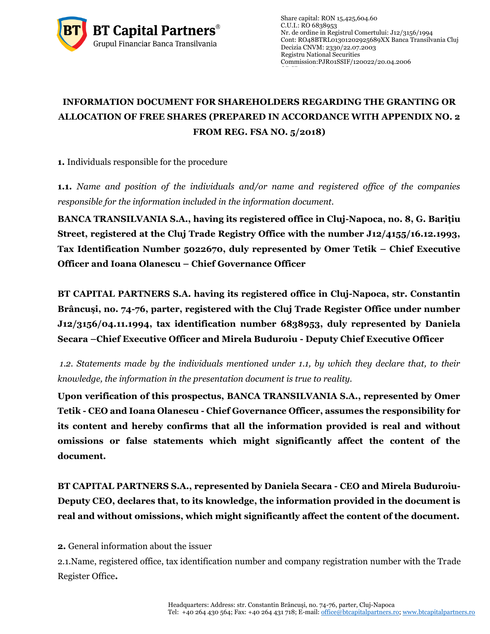

Share capital: RON 15,425,604.60 C.U.I.: RO 6838953 Nr. de ordine in Registrul Comertului: J12/3156/1994 Cont: RO48BTRL01301202925689XX Banca Transilvania Cluj Decizia CNVM: 2330/22.07.2003 Registru National Securities Commissio[n:PJR01SSIF/120022/](http://asfromania.ro/registru/detalii.php?id=11&nrcnvm=PJR01SSIF/120022&lng=1)20.04.2006

### **INFORMATION DOCUMENT FOR SHAREHOLDERS REGARDING THE GRANTING OR ALLOCATION OF FREE SHARES (PREPARED IN ACCORDANCE WITH APPENDIX NO. 2 FROM REG. FSA NO. 5/2018)**

**1.** Individuals responsible for the procedure

**1.1.** *Name and position of the individuals and/or name and registered office of the companies responsible for the information included in the information document.*

**BANCA TRANSILVANIA S.A., having its registered office in Cluj-Napoca, no. 8, G. Bariţiu Street, registered at the Cluj Trade Registry Office with the number J12/4155/16.12.1993, Tax Identification Number 5022670, duly represented by Omer Tetik – Chief Executive Officer and Ioana Olanescu – Chief Governance Officer**

**BT CAPITAL PARTNERS S.A. having its registered office in Cluj-Napoca, str. Constantin Brâncuşi, no. 74-76, parter, registered with the Cluj Trade Register Office under number J12/3156/04.11.1994, tax identification number 6838953, duly represented by Daniela Secara –Chief Executive Officer and Mirela Buduroiu - Deputy Chief Executive Officer**

*1.2. Statements made by the individuals mentioned under 1.1, by which they declare that, to their knowledge, the information in the presentation document is true to reality.* 

**Upon verification of this prospectus, BANCA TRANSILVANIA S.A., represented by Omer Tetik - CEO and Ioana Olanescu - Chief Governance Officer, assumes the responsibility for its content and hereby confirms that all the information provided is real and without omissions or false statements which might significantly affect the content of the document.**

**BT CAPITAL PARTNERS S.A., represented by Daniela Secara - CEO and Mirela Buduroiu-Deputy CEO, declares that, to its knowledge, the information provided in the document is real and without omissions, which might significantly affect the content of the document.**

**2.** General information about the issuer

2.1.Name, registered office, tax identification number and company registration number with the Trade Register Office**.**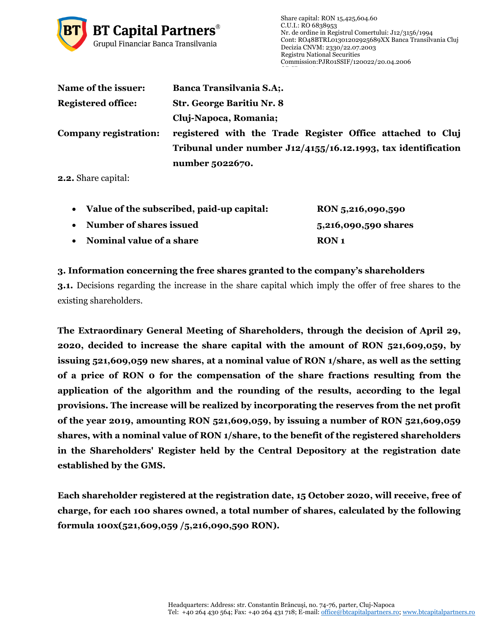

| Name of the issuer:       | <b>Banca Transilvania S.A;.</b>                                  |  |
|---------------------------|------------------------------------------------------------------|--|
| <b>Registered office:</b> | <b>Str. George Baritiu Nr. 8</b>                                 |  |
|                           | Cluj-Napoca, Romania;                                            |  |
| Company registration:     | registered with the Trade Register Office attached to Cluj       |  |
|                           | Tribunal under number $J12/4155/16.12.1993$ , tax identification |  |
|                           | number 5022670.                                                  |  |

**2.2.** Share capital:

|           | • Value of the subscribed, paid-up capital: | RON 5,216,090,590    |
|-----------|---------------------------------------------|----------------------|
| $\bullet$ | Number of shares issued                     | 5,216,090,590 shares |
| $\bullet$ | Nominal value of a share                    | RON <sub>1</sub>     |

### **3. Information concerning the free shares granted to the company's shareholders**

**3.1.** Decisions regarding the increase in the share capital which imply the offer of free shares to the existing shareholders.

**The Extraordinary General Meeting of Shareholders, through the decision of April 29, 2020, decided to increase the share capital with the amount of RON 521,609,059, by issuing 521,609,059 new shares, at a nominal value of RON 1/share, as well as the setting of a price of RON 0 for the compensation of the share fractions resulting from the application of the algorithm and the rounding of the results, according to the legal provisions. The increase will be realized by incorporating the reserves from the net profit of the year 2019, amounting RON 521,609,059, by issuing a number of RON 521,609,059 shares, with a nominal value of RON 1/share, to the benefit of the registered shareholders in the Shareholders' Register held by the Central Depository at the registration date established by the GMS.**

**Each shareholder registered at the registration date, 15 October 2020, will receive, free of charge, for each 100 shares owned, a total number of shares, calculated by the following formula 100x(521,609,059 /5,216,090,590 RON).**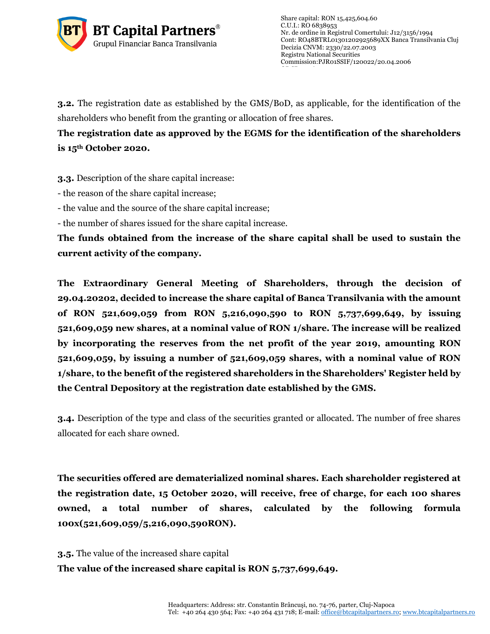

**3.2.** The registration date as established by the GMS/BoD, as applicable, for the identification of the shareholders who benefit from the granting or allocation of free shares.

**The registration date as approved by the EGMS for the identification of the shareholders is 15th October 2020.**

**3.3.** Description of the share capital increase:

- the reason of the share capital increase;

- the value and the source of the share capital increase;

- the number of shares issued for the share capital increase.

**The funds obtained from the increase of the share capital shall be used to sustain the current activity of the company.**

**The Extraordinary General Meeting of Shareholders, through the decision of 29.04.20202, decided to increase the share capital of Banca Transilvania with the amount of RON 521,609,059 from RON 5,216,090,590 to RON 5,737,699,649, by issuing 521,609,059 new shares, at a nominal value of RON 1/share. The increase will be realized by incorporating the reserves from the net profit of the year 2019, amounting RON 521,609,059, by issuing a number of 521,609,059 shares, with a nominal value of RON 1/share, to the benefit of the registered shareholders in the Shareholders' Register held by the Central Depository at the registration date established by the GMS.**

**3.4.** Description of the type and class of the securities granted or allocated. The number of free shares allocated for each share owned.

**The securities offered are dematerialized nominal shares. Each shareholder registered at the registration date, 15 October 2020, will receive, free of charge, for each 100 shares owned, a total number of shares, calculated by the following formula 100x(521,609,059/5,216,090,590RON).**

**3.5.** The value of the increased share capital

**The value of the increased share capital is RON 5,737,699,649.**